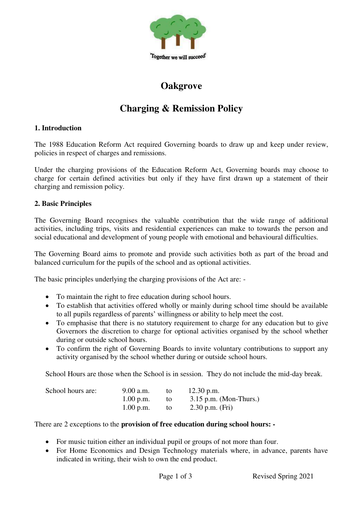

## **Oakgrove**

# **Charging & Remission Policy**

## **1. Introduction**

The 1988 Education Reform Act required Governing boards to draw up and keep under review, policies in respect of charges and remissions.

Under the charging provisions of the Education Reform Act, Governing boards may choose to charge for certain defined activities but only if they have first drawn up a statement of their charging and remission policy.

## **2. Basic Principles**

The Governing Board recognises the valuable contribution that the wide range of additional activities, including trips, visits and residential experiences can make to towards the person and social educational and development of young people with emotional and behavioural difficulties.

The Governing Board aims to promote and provide such activities both as part of the broad and balanced curriculum for the pupils of the school and as optional activities.

The basic principles underlying the charging provisions of the Act are: -

- To maintain the right to free education during school hours.
- To establish that activities offered wholly or mainly during school time should be available to all pupils regardless of parents' willingness or ability to help meet the cost.
- To emphasise that there is no statutory requirement to charge for any education but to give Governors the discretion to charge for optional activities organised by the school whether during or outside school hours.
- To confirm the right of Governing Boards to invite voluntary contributions to support any activity organised by the school whether during or outside school hours.

School Hours are those when the School is in session. They do not include the mid-day break.

| School hours are: | 9.00 a.m.   | to | $12.30$ p.m.             |
|-------------------|-------------|----|--------------------------|
|                   | $1.00$ p.m. | to | $3.15$ p.m. (Mon-Thurs.) |
|                   | $1.00$ p.m. | to | 2.30 p.m. $(Fri)$        |

There are 2 exceptions to the **provision of free education during school hours: -**

- For music tuition either an individual pupil or groups of not more than four.
- For Home Economics and Design Technology materials where, in advance, parents have indicated in writing, their wish to own the end product.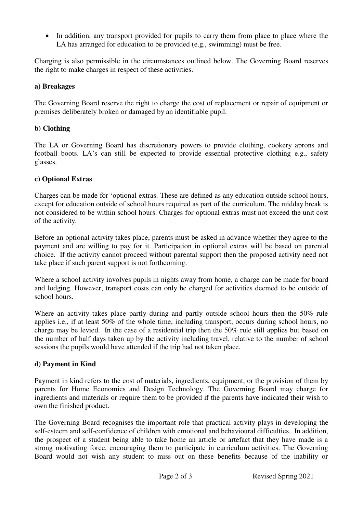• In addition, any transport provided for pupils to carry them from place to place where the LA has arranged for education to be provided (e.g., swimming) must be free.

Charging is also permissible in the circumstances outlined below. The Governing Board reserves the right to make charges in respect of these activities.

## **a) Breakages**

The Governing Board reserve the right to charge the cost of replacement or repair of equipment or premises deliberately broken or damaged by an identifiable pupil.

## **b) Clothing**

The LA or Governing Board has discretionary powers to provide clothing, cookery aprons and football boots. LA's can still be expected to provide essential protective clothing e.g., safety glasses.

## **c) Optional Extras**

Charges can be made for 'optional extras. These are defined as any education outside school hours, except for education outside of school hours required as part of the curriculum. The midday break is not considered to be within school hours. Charges for optional extras must not exceed the unit cost of the activity.

Before an optional activity takes place, parents must be asked in advance whether they agree to the payment and are willing to pay for it. Participation in optional extras will be based on parental choice. If the activity cannot proceed without parental support then the proposed activity need not take place if such parent support is not forthcoming.

Where a school activity involves pupils in nights away from home, a charge can be made for board and lodging. However, transport costs can only be charged for activities deemed to be outside of school hours.

Where an activity takes place partly during and partly outside school hours then the 50% rule applies i.e., if at least 50% of the whole time, including transport, occurs during school hours, no charge may be levied. In the case of a residential trip then the 50% rule still applies but based on the number of half days taken up by the activity including travel, relative to the number of school sessions the pupils would have attended if the trip had not taken place.

## **d) Payment in Kind**

Payment in kind refers to the cost of materials, ingredients, equipment, or the provision of them by parents for Home Economics and Design Technology. The Governing Board may charge for ingredients and materials or require them to be provided if the parents have indicated their wish to own the finished product.

The Governing Board recognises the important role that practical activity plays in developing the self-esteem and self-confidence of children with emotional and behavioural difficulties. In addition, the prospect of a student being able to take home an article or artefact that they have made is a strong motivating force, encouraging them to participate in curriculum activities. The Governing Board would not wish any student to miss out on these benefits because of the inability or